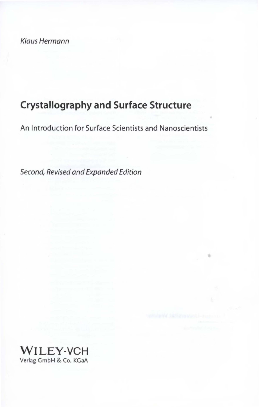Klaus Hermann

# **Crystallography and Surface Structure**

An lntroduction for Surface Scientists and Nanoscientists

噎

Second, Revised and Expanded Edition

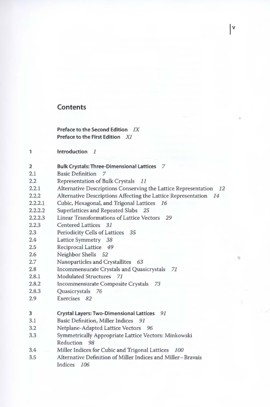# **Contents**

**Preface to the Second Edition** *IX*  **Preface to the First Edition** *XI* 

- $\mathbf{1}$ **lntroduction** 1
- 2 2.1 **Bulk Crystals: Three-Dimensional Lattices** 7 Basic Definition 7
- 2.2 Representation of Bulk Crystals 11
- 2.2.1 Alternative Descriptions Conserving the Lattice Representation *12*

 $|V|$ 

- 2.2.2 Alternative Descriptions Affecting the Lattice Representation *14*
- 2.2.2.1 Cubic, Hexagonal, and Trigonal Lattices *16*
- 2.2.2.2 Superlattices and Repeated Slabs *25*
- 2.2.2.3 Linear Transformations of Lattice Vectors *29*
- 2.2.3 Centered Lattices *31*
- 2.3 Periodicity Cells of Lattices *35*
- 2.4 Lattice Symmetry *38*
- 2.5 Reciprocal Lattice *49*
- 2.6 Neighbor Shells *52*
- 2.7 Nanopartides and Crystallites 63
- 2.8 Incommensurate Crystals and Quasicrystals *71*
- 2.8.1 Modulated Structures *71*
- 2.8.2 Incommensurate Composite Crystals *73*
- 2.8.3 Quasicrystals 76
- 2.9 Exercises 82

### **3 Crystal Layers: Two-Dimensional Lattices** *91*

- 3.1 Basic Definition, Miller Indices *91*
- 3.2 Netplane-Adapted Lattice Vectors 96
- 3.3 Symmetrically Appropriate Lattice Vectors: Minkowski Reduction 98
- 3.4 Miller Indices for Cubic and Trigonal Lattices *100*
- 3.5 Alternative Definition of Miller Indices and Miller-Bravais Indices *106*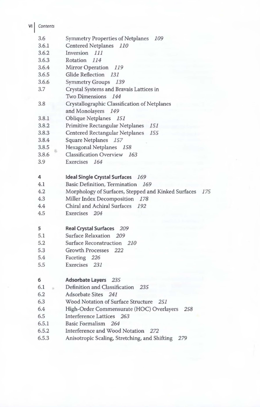| VI | Contents |                                                         |
|----|----------|---------------------------------------------------------|
|    | 3.6      | <b>Symmetry Properties of Netplanes</b><br>109          |
|    | 3.6.1    | Centered Netplanes 110                                  |
|    | 3.6.2    | Inversion<br>111                                        |
|    | 3.6.3    | Rotation<br>114                                         |
|    | 3.6.4    | Mirror Operation<br>119                                 |
|    | 3.6.5    | <b>Glide Reflection</b><br>131                          |
|    | 3.6.6    | Symmetry Groups 139                                     |
|    | 3.7      | Crystal Systems and Bravais Lattices in                 |
|    |          | Two Dimensions 144                                      |
|    | 3.8      | Crystallographic Classification of Netplanes            |
|    |          | and Monolayers<br>149                                   |
|    | 3.8.1    | <b>Oblique Netplanes</b><br>151                         |
|    | 3.8.2    | Primitive Rectangular Netplanes<br>151                  |
|    | 3.8.3    | Centered Rectangular Netplanes<br>155                   |
|    | 3.8.4    | Square Netplanes 157                                    |
|    | 3.8.5    | Hexagonal Netplanes 158                                 |
|    | 3.8.6    | Classification Overview 163                             |
|    | 3.9      | Exercises<br>164                                        |
|    | 4        | <b>Ideal Single Crystal Surfaces</b><br>169             |
|    | 4.1      | Basic Definition, Termination 169                       |
|    | 4.2      | Morphology of Surfaces, Stepped and Kinked Surfaces 175 |
|    | 4.3      | Miller Index Decomposition 178                          |
|    | 4.4      | Chiral and Achiral Surfaces<br>192                      |
|    | 4.5      | Exercises 204                                           |
|    | 5        | <b>Real Crystal Surfaces</b><br>209                     |
|    | 5.1      | Surface Relaxation<br>209                               |
|    | 5.2      | Surface Reconstruction 210                              |
|    | 5.3      | Growth Processes 222                                    |
|    | 5.4      | Faceting 226                                            |
|    | 5.5      | Exercises 231                                           |
|    | 6        | <b>Adsorbate Layers</b> 235                             |
|    | 6.1      | Definition and Classification<br>235                    |
|    | 6.2      | Adsorbate Sites 241                                     |
|    | 6.3      | Wood Notation of Surface Structure 251                  |
|    | 6.4      | High-Order Commensurate (HOC) Overlayers<br>258         |
|    | 6.5      | Interference Lattices 263                               |
|    | 6.5.1    | Basic Formalism 264                                     |
|    | 6.5.2    | Interference and Wood Notation<br>272                   |
|    | 6.5.3    | Anisotropic Scaling, Stretching, and Shifting<br>279    |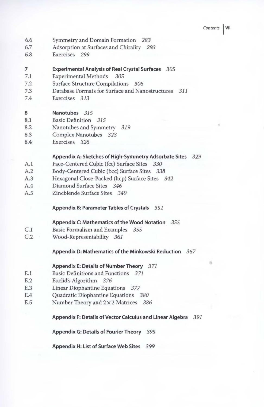- 6.6 Symmetry and Domain Formation *283*
- 6.7 Adsorption at Surfaces and Chirality 293
- 6.8 Exercises 299

# 7 Experimental Analysis of Real Crystal Surfaces *305*

- 7.1 Experimental Methods *305*
- 7.2 Surface Structure Compilations *306*
- 7.3 Database Formats for Surface and Nanostructures 311
- 7.4 Exercises *313*

#### 8 Nanotubes *315*

- 8.1 Basic Definition *315*
- 8.2 Nanotubes and Symmetry *319*
- 8.3 Complex Nanotubes *323*
- 8.4 Exercises *326*

## Appendix A: Sketches of High-Symmetry Adsorbate Sites 329

- A.1 Face-Centered Cubic (fcc) Surface Sites *330*
- A.2 Body-Centered Cubic (bcc) Surface Sites *338*
- A.3 Hexagonal Close-Packed (hcp) Surface Sites *342*
- A.4 Diamond Surface Sites *346*
- A.5 Zincblende Surface Sites 349

# Appendix B: Parameter Tables of Crystals *351*

# Appendix C: Mathematics of the Wood Notation *355*

- C.1 Basic Formalism and Examples *355*
- C.2 Wood-Representability *361*

#### Appendix D: Mathematics of the Minkowski Reduction 367

### Appendix E: Details of Number Theory *371*

- E.1 Basic Definitions and Functions *371*
- E.2 Euclid's Algorithm *376*
- E.3 Linear Diophantine Equations *377*
- E.4 Quadratic Diophantine Equations *380*
- E.5 Number Theory and 2 x 2 Matrices *386*

#### Appendix F: Details of Vector Calculus and Linear Algebra *391*

Appendix G: Details of Fourier Theory 395

Appendix H: List of Surface Web Sites *399*